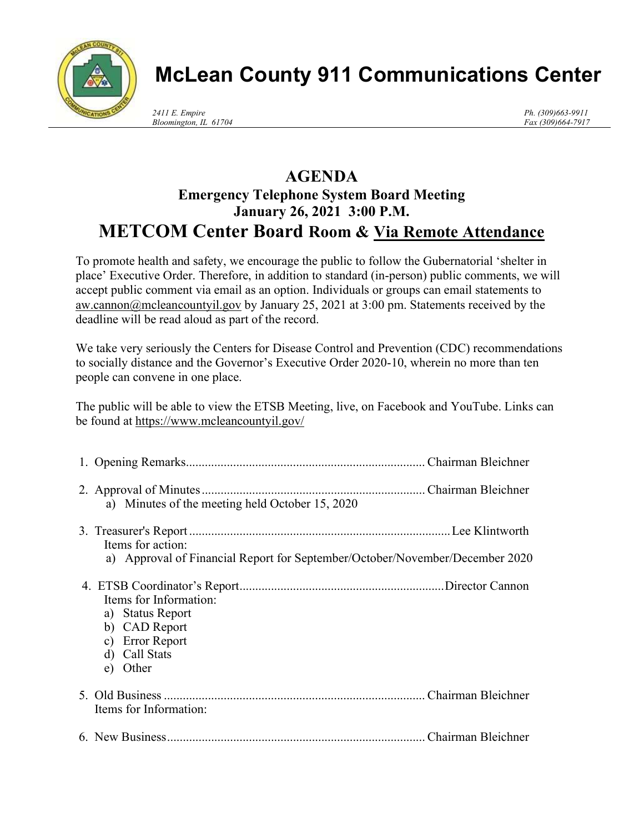

## McLean County 911 Communications Center

Ph. (309)663-9911 Fax (309)664-7917

## AGENDA Emergency Telephone System Board Meeting January 26, 2021 3:00 P.M. METCOM Center Board Room & Via Remote Attendance

To promote health and safety, we encourage the public to follow the Gubernatorial 'shelter in place' Executive Order. Therefore, in addition to standard (in-person) public comments, we will accept public comment via email as an option. Individuals or groups can email statements to aw.cannon@mcleancountyil.gov by January 25, 2021 at 3:00 pm. Statements received by the deadline will be read aloud as part of the record.

We take very seriously the Centers for Disease Control and Prevention (CDC) recommendations to socially distance and the Governor's Executive Order 2020-10, wherein no more than ten people can convene in one place.

The public will be able to view the ETSB Meeting, live, on Facebook and YouTube. Links can be found at https://www.mcleancountyil.gov/

| a) Minutes of the meeting held October 15, 2020                              |  |
|------------------------------------------------------------------------------|--|
|                                                                              |  |
| Items for action:                                                            |  |
| a) Approval of Financial Report for September/October/November/December 2020 |  |
| Items for Information:                                                       |  |
| a) Status Report                                                             |  |
| b) CAD Report                                                                |  |
| c) Error Report                                                              |  |
| d) Call Stats                                                                |  |
| e) Other                                                                     |  |
|                                                                              |  |
| Items for Information:                                                       |  |
|                                                                              |  |